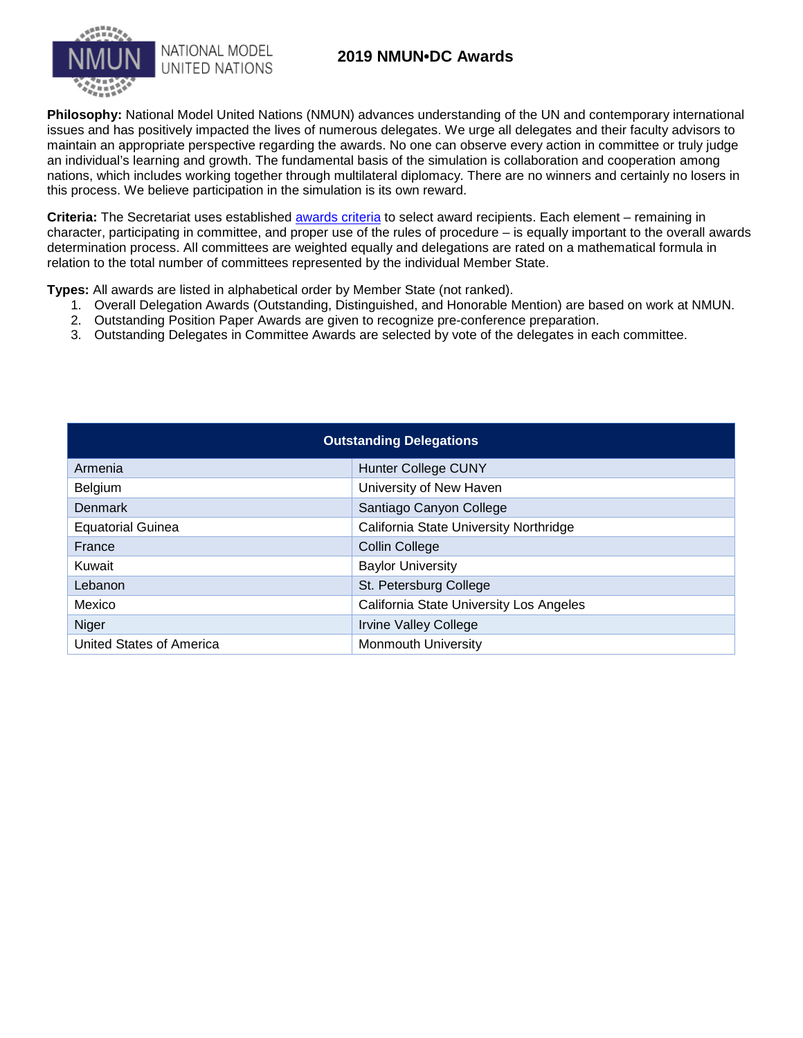## **2019 NMUN•DC Awards**



**Philosophy:** National Model United Nations (NMUN) advances understanding of the UN and contemporary international issues and has positively impacted the lives of numerous delegates. We urge all delegates and their faculty advisors to maintain an appropriate perspective regarding the awards. No one can observe every action in committee or truly judge an individual's learning and growth. The fundamental basis of the simulation is collaboration and cooperation among nations, which includes working together through multilateral diplomacy. There are no winners and certainly no losers in this process. We believe participation in the simulation is its own reward.

**Criteria:** The Secretariat uses established [awards criteria](http://www.nmun.org/awards-criteria.html) to select award recipients. Each element – remaining in character, participating in committee, and proper use of the rules of procedure – is equally important to the overall awards determination process. All committees are weighted equally and delegations are rated on a mathematical formula in relation to the total number of committees represented by the individual Member State.

**Types:** All awards are listed in alphabetical order by Member State (not ranked).

- 1. Overall Delegation Awards (Outstanding, Distinguished, and Honorable Mention) are based on work at NMUN.
- 2. Outstanding Position Paper Awards are given to recognize pre-conference preparation.
- 3. Outstanding Delegates in Committee Awards are selected by vote of the delegates in each committee.

| <b>Outstanding Delegations</b> |                                         |  |  |
|--------------------------------|-----------------------------------------|--|--|
| Armenia                        | Hunter College CUNY                     |  |  |
| <b>Belgium</b>                 | University of New Haven                 |  |  |
| <b>Denmark</b>                 | Santiago Canyon College                 |  |  |
| <b>Equatorial Guinea</b>       | California State University Northridge  |  |  |
| France                         | <b>Collin College</b>                   |  |  |
| Kuwait                         | <b>Baylor University</b>                |  |  |
| Lebanon                        | St. Petersburg College                  |  |  |
| Mexico                         | California State University Los Angeles |  |  |
| Niger                          | <b>Irvine Valley College</b>            |  |  |
| United States of America       | <b>Monmouth University</b>              |  |  |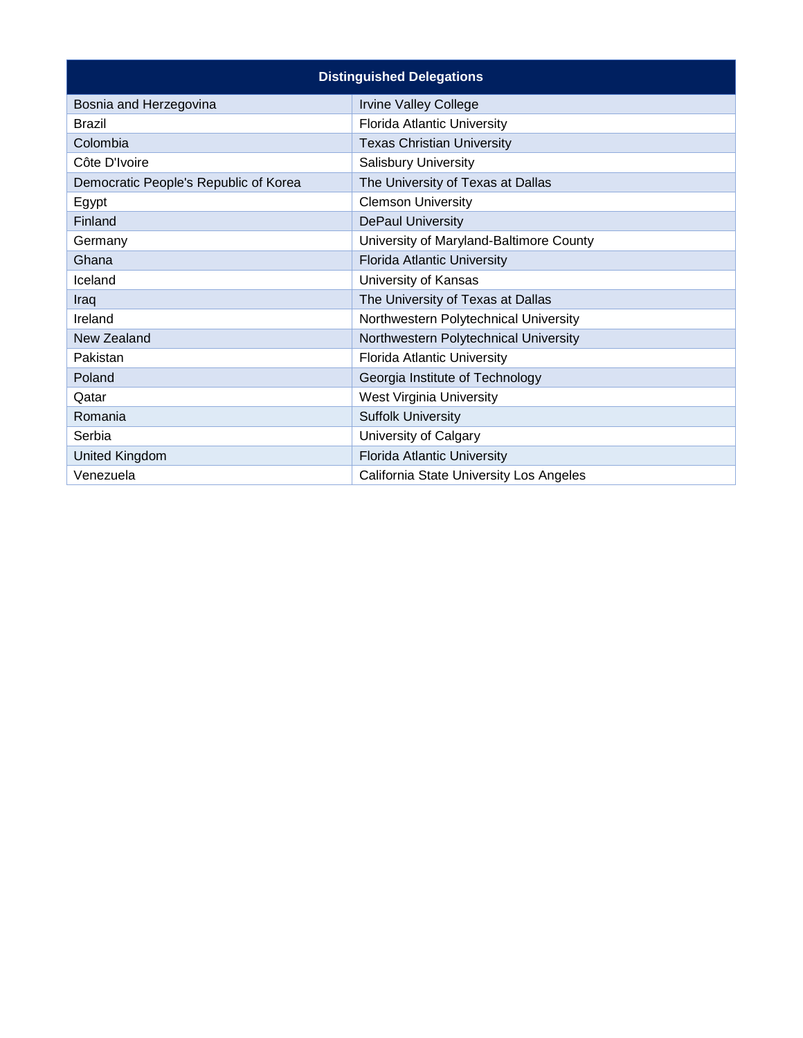| <b>Distinguished Delegations</b>      |                                         |  |  |  |
|---------------------------------------|-----------------------------------------|--|--|--|
| Bosnia and Herzegovina                | <b>Irvine Valley College</b>            |  |  |  |
| <b>Brazil</b>                         | <b>Florida Atlantic University</b>      |  |  |  |
| Colombia                              | <b>Texas Christian University</b>       |  |  |  |
| Côte D'Ivoire                         | <b>Salisbury University</b>             |  |  |  |
| Democratic People's Republic of Korea | The University of Texas at Dallas       |  |  |  |
| Egypt                                 | <b>Clemson University</b>               |  |  |  |
| Finland                               | <b>DePaul University</b>                |  |  |  |
| Germany                               | University of Maryland-Baltimore County |  |  |  |
| Ghana                                 | <b>Florida Atlantic University</b>      |  |  |  |
| Iceland                               | University of Kansas                    |  |  |  |
| Iraq                                  | The University of Texas at Dallas       |  |  |  |
| Ireland                               | Northwestern Polytechnical University   |  |  |  |
| New Zealand                           | Northwestern Polytechnical University   |  |  |  |
| Pakistan                              | <b>Florida Atlantic University</b>      |  |  |  |
| Poland                                | Georgia Institute of Technology         |  |  |  |
| Qatar                                 | West Virginia University                |  |  |  |
| Romania                               | <b>Suffolk University</b>               |  |  |  |
| Serbia                                | University of Calgary                   |  |  |  |
| United Kingdom                        | <b>Florida Atlantic University</b>      |  |  |  |
| Venezuela                             | California State University Los Angeles |  |  |  |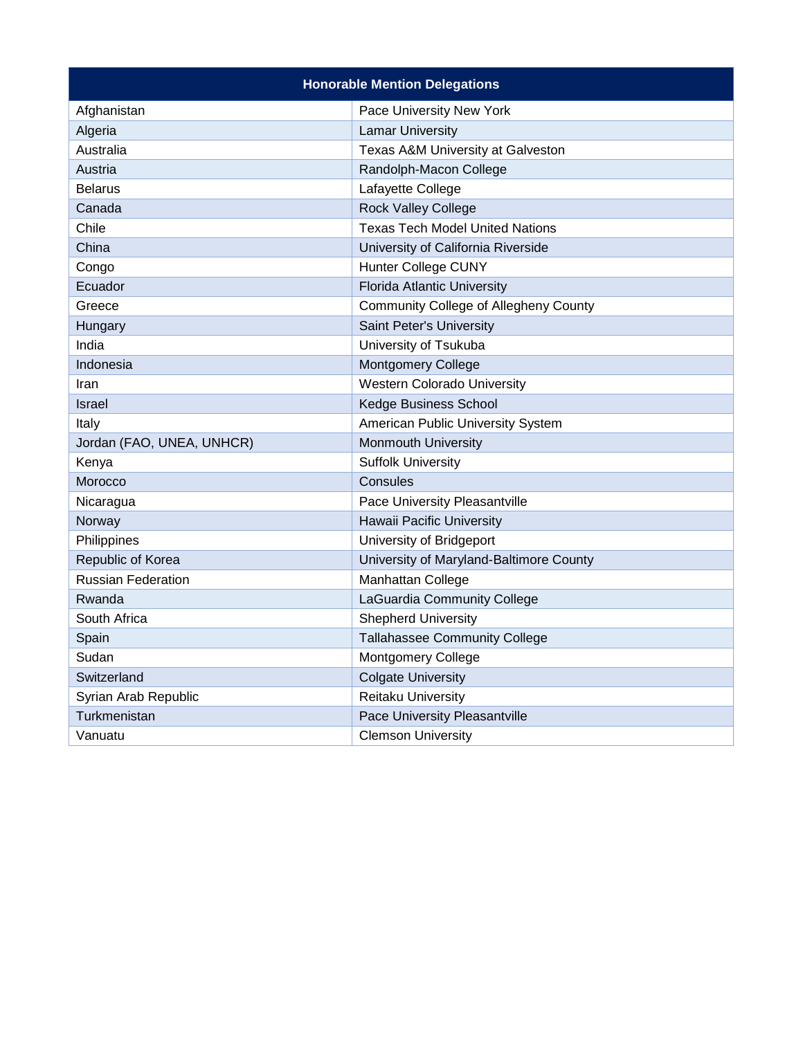| <b>Honorable Mention Delegations</b> |                                              |  |  |  |
|--------------------------------------|----------------------------------------------|--|--|--|
| Afghanistan                          | Pace University New York                     |  |  |  |
| Algeria                              | <b>Lamar University</b>                      |  |  |  |
| Australia                            | Texas A&M University at Galveston            |  |  |  |
| Austria                              | Randolph-Macon College                       |  |  |  |
| <b>Belarus</b>                       | Lafayette College                            |  |  |  |
| Canada                               | <b>Rock Valley College</b>                   |  |  |  |
| Chile                                | <b>Texas Tech Model United Nations</b>       |  |  |  |
| China                                | University of California Riverside           |  |  |  |
| Congo                                | <b>Hunter College CUNY</b>                   |  |  |  |
| Ecuador                              | <b>Florida Atlantic University</b>           |  |  |  |
| Greece                               | <b>Community College of Allegheny County</b> |  |  |  |
| Hungary                              | Saint Peter's University                     |  |  |  |
| India                                | University of Tsukuba                        |  |  |  |
| Indonesia                            | Montgomery College                           |  |  |  |
| Iran                                 | <b>Western Colorado University</b>           |  |  |  |
| <b>Israel</b>                        | Kedge Business School                        |  |  |  |
| Italy                                | American Public University System            |  |  |  |
| Jordan (FAO, UNEA, UNHCR)            | <b>Monmouth University</b>                   |  |  |  |
| Kenya                                | <b>Suffolk University</b>                    |  |  |  |
| Morocco                              | Consules                                     |  |  |  |
| Nicaragua                            | Pace University Pleasantville                |  |  |  |
| Norway                               | Hawaii Pacific University                    |  |  |  |
| Philippines                          | University of Bridgeport                     |  |  |  |
| Republic of Korea                    | University of Maryland-Baltimore County      |  |  |  |
| Russian Federation                   | Manhattan College                            |  |  |  |
| Rwanda                               | LaGuardia Community College                  |  |  |  |
| South Africa                         | <b>Shepherd University</b>                   |  |  |  |
| Spain                                | <b>Tallahassee Community College</b>         |  |  |  |
| Sudan                                | <b>Montgomery College</b>                    |  |  |  |
| Switzerland                          | <b>Colgate University</b>                    |  |  |  |
| Syrian Arab Republic                 | Reitaku University                           |  |  |  |
| Turkmenistan                         | Pace University Pleasantville                |  |  |  |
| Vanuatu                              | <b>Clemson University</b>                    |  |  |  |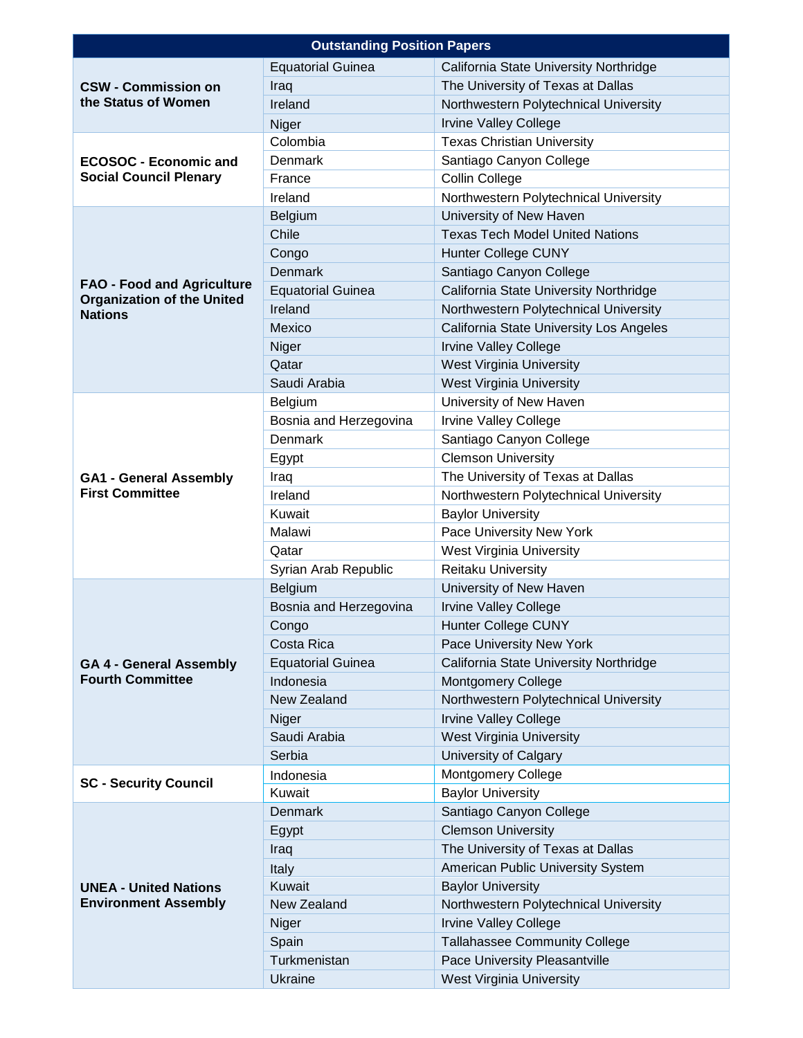| <b>Outstanding Position Papers</b>                                     |                          |                                         |  |
|------------------------------------------------------------------------|--------------------------|-----------------------------------------|--|
|                                                                        | <b>Equatorial Guinea</b> | California State University Northridge  |  |
| <b>CSW - Commission on</b>                                             | Iraq                     | The University of Texas at Dallas       |  |
| the Status of Women                                                    | Ireland                  | Northwestern Polytechnical University   |  |
|                                                                        | Niger                    | <b>Irvine Valley College</b>            |  |
|                                                                        | Colombia                 | <b>Texas Christian University</b>       |  |
| <b>ECOSOC - Economic and</b>                                           | <b>Denmark</b>           | Santiago Canyon College                 |  |
| <b>Social Council Plenary</b>                                          | France                   | <b>Collin College</b>                   |  |
|                                                                        | Ireland                  | Northwestern Polytechnical University   |  |
|                                                                        | Belgium                  | University of New Haven                 |  |
|                                                                        | Chile                    | <b>Texas Tech Model United Nations</b>  |  |
|                                                                        | Congo                    | <b>Hunter College CUNY</b>              |  |
|                                                                        | <b>Denmark</b>           | Santiago Canyon College                 |  |
| <b>FAO - Food and Agriculture</b><br><b>Organization of the United</b> | <b>Equatorial Guinea</b> | California State University Northridge  |  |
| <b>Nations</b>                                                         | Ireland                  | Northwestern Polytechnical University   |  |
|                                                                        | Mexico                   | California State University Los Angeles |  |
|                                                                        | Niger                    | <b>Irvine Valley College</b>            |  |
|                                                                        | Qatar                    | West Virginia University                |  |
|                                                                        | Saudi Arabia             | West Virginia University                |  |
|                                                                        | Belgium                  | University of New Haven                 |  |
|                                                                        | Bosnia and Herzegovina   | <b>Irvine Valley College</b>            |  |
|                                                                        | Denmark                  | Santiago Canyon College                 |  |
|                                                                        | Egypt                    | <b>Clemson University</b>               |  |
| <b>GA1 - General Assembly</b>                                          | Iraq                     | The University of Texas at Dallas       |  |
| <b>First Committee</b>                                                 | Ireland                  | Northwestern Polytechnical University   |  |
|                                                                        | Kuwait                   | <b>Baylor University</b>                |  |
|                                                                        | Malawi                   | Pace University New York                |  |
|                                                                        | Qatar                    | <b>West Virginia University</b>         |  |
|                                                                        | Syrian Arab Republic     | Reitaku University                      |  |
|                                                                        | Belgium                  | University of New Haven                 |  |
|                                                                        | Bosnia and Herzegovina   | <b>Irvine Valley College</b>            |  |
|                                                                        | Congo                    | <b>Hunter College CUNY</b>              |  |
|                                                                        | Costa Rica               | Pace University New York                |  |
| <b>GA 4 - General Assembly</b>                                         | <b>Equatorial Guinea</b> | California State University Northridge  |  |
| <b>Fourth Committee</b>                                                | Indonesia                | <b>Montgomery College</b>               |  |
|                                                                        | New Zealand              | Northwestern Polytechnical University   |  |
|                                                                        | Niger                    | <b>Irvine Valley College</b>            |  |
|                                                                        | Saudi Arabia             | West Virginia University                |  |
|                                                                        | Serbia                   | <b>University of Calgary</b>            |  |
| <b>SC - Security Council</b>                                           | Indonesia                | <b>Montgomery College</b>               |  |
|                                                                        | Kuwait                   | <b>Baylor University</b>                |  |
|                                                                        | <b>Denmark</b>           | Santiago Canyon College                 |  |
|                                                                        | Egypt                    | <b>Clemson University</b>               |  |
|                                                                        | Iraq                     | The University of Texas at Dallas       |  |
| <b>UNEA - United Nations</b><br><b>Environment Assembly</b>            | Italy                    | American Public University System       |  |
|                                                                        | Kuwait                   | <b>Baylor University</b>                |  |
|                                                                        | New Zealand              | Northwestern Polytechnical University   |  |
|                                                                        | Niger                    | <b>Irvine Valley College</b>            |  |
|                                                                        | Spain                    | <b>Tallahassee Community College</b>    |  |
|                                                                        | Turkmenistan             | Pace University Pleasantville           |  |
|                                                                        | <b>Ukraine</b>           | West Virginia University                |  |